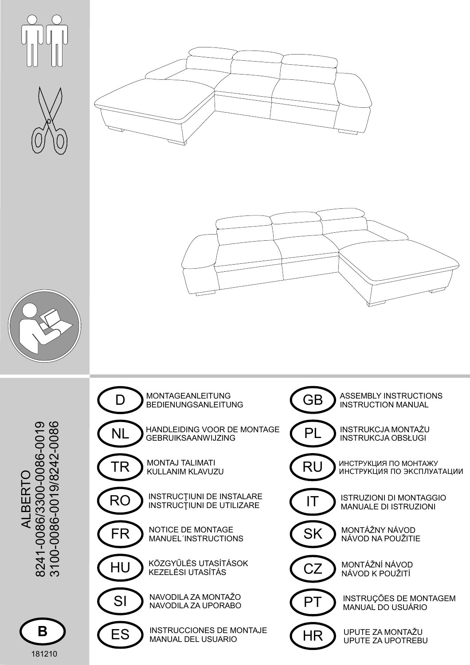





ALBERTO<br>8241-0086/3300-0086-0019 3100-0086-0019/8242-0086 8241-0086/3300-0086-0019 3100-0086-0019/8242-0086

**B**

181210

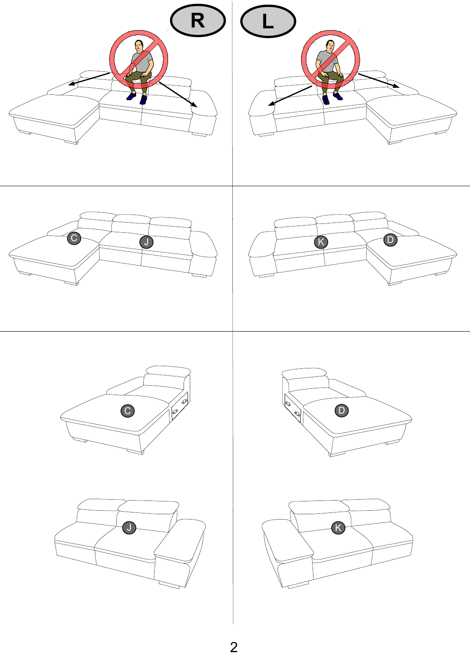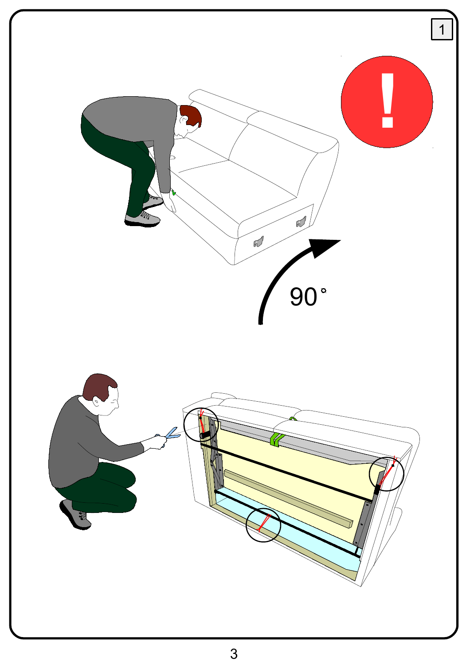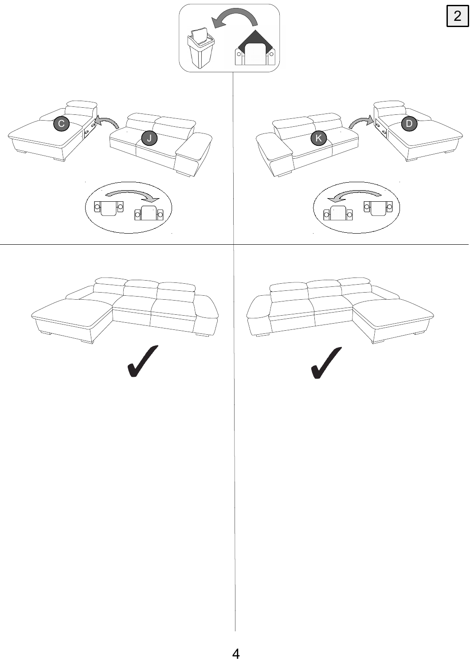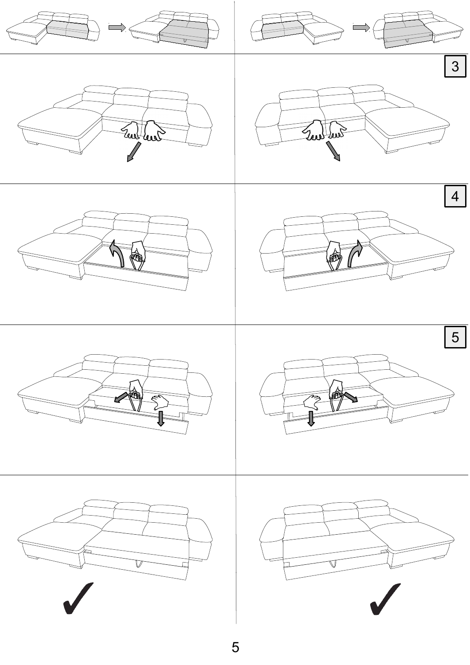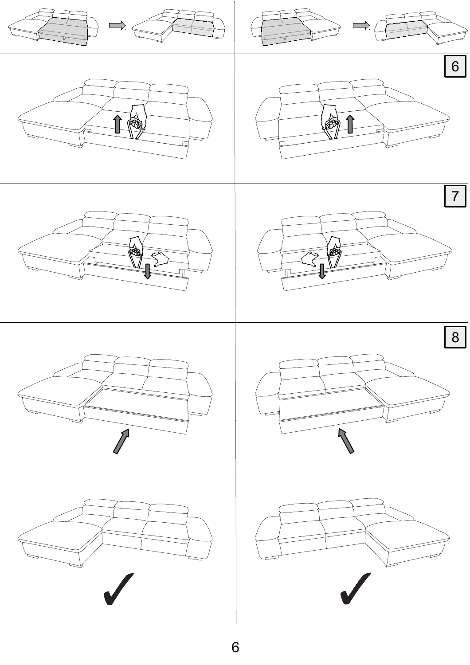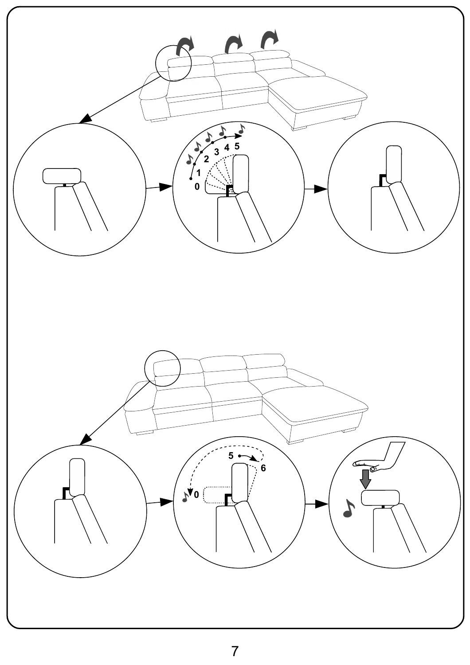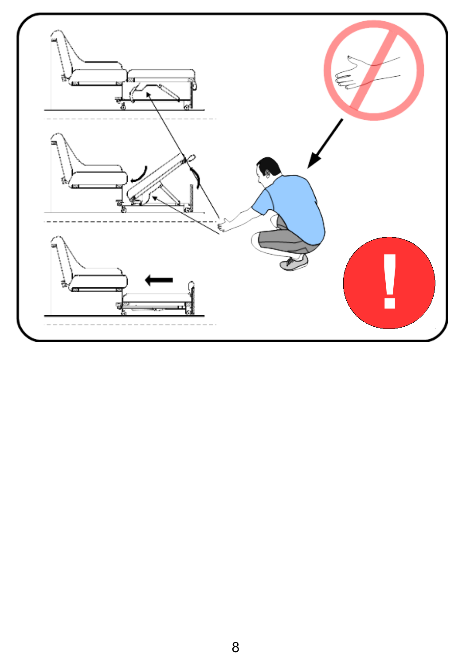